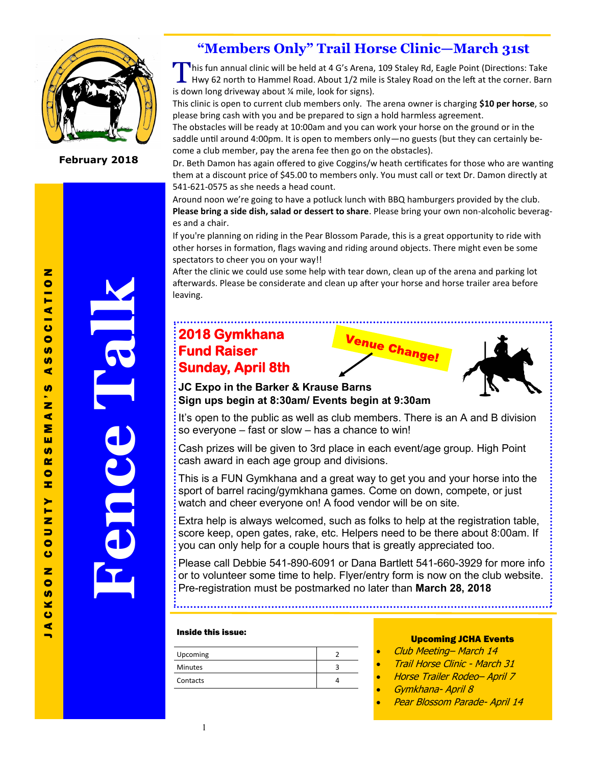

**February 2018**

### **"Members Only" Trail Horse Clinic—March 31st**

This fun annual clinic will be held at 4 G's Arena, 109 Staley Rd, Eagle Point (Directions: Take<br>Hwy 62 north to Hammel Road. About 1/2 mile is Staley Road on the left at the corner. Barr Hwy 62 north to Hammel Road. About 1/2 mile is Staley Road on the left at the corner. Barn is down long driveway about ¼ mile, look for signs).

This clinic is open to current club members only. The arena owner is charging **\$10 per horse**, so please bring cash with you and be prepared to sign a hold harmless agreement.

The obstacles will be ready at 10:00am and you can work your horse on the ground or in the saddle until around 4:00pm. It is open to members only—no guests (but they can certainly become a club member, pay the arena fee then go on the obstacles).

Dr. Beth Damon has again offered to give Coggins/w heath certificates for those who are wanting them at a discount price of \$45.00 to members only. You must call or text Dr. Damon directly at 541-621-0575 as she needs a head count.

Around noon we're going to have a potluck lunch with BBQ hamburgers provided by the club. **Please bring a side dish, salad or dessert to share**. Please bring your own non-alcoholic beverages and a chair.

If you're planning on riding in the Pear Blossom Parade, this is a great opportunity to ride with other horses in formation, flags waving and riding around objects. There might even be some spectators to cheer you on your way!!

After the clinic we could use some help with tear down, clean up of the arena and parking lot afterwards. Please be considerate and clean up after your horse and horse trailer area before leaving.

### **2018 Gymkhana Fund Raiser Sunday, April 8th**





**JC Expo in the Barker & Krause Barns Sign ups begin at 8:30am/ Events begin at 9:30am** 

It's open to the public as well as club members. There is an A and B division so everyone – fast or slow – has a chance to win!

Cash prizes will be given to 3rd place in each event/age group. High Point cash award in each age group and divisions.

This is a FUN Gymkhana and a great way to get you and your horse into the sport of barrel racing/gymkhana games. Come on down, compete, or just watch and cheer everyone on! A food vendor will be on site.

Extra help is always welcomed, such as folks to help at the registration table, score keep, open gates, rake, etc. Helpers need to be there about 8:00am. If you can only help for a couple hours that is greatly appreciated too.

Please call Debbie 541-890-6091 or Dana Bartlett 541-660-3929 for more info or to volunteer some time to help. Flyer/entry form is now on the club website. Pre-registration must be postmarked no later than **March 28, 2018**

#### Inside this issue:

| Upcoming       |  |
|----------------|--|
| <b>Minutes</b> |  |
| Contacts       |  |

#### Upcoming JCHA Events

- Club Meeting– March 14
- Trail Horse Clinic March 31
- Horse Trailer Rodeo– April 7
- Gymkhana- April 8
- Pear Blossom Parade- April 14

 $\blacksquare$ 

**Fence Talk**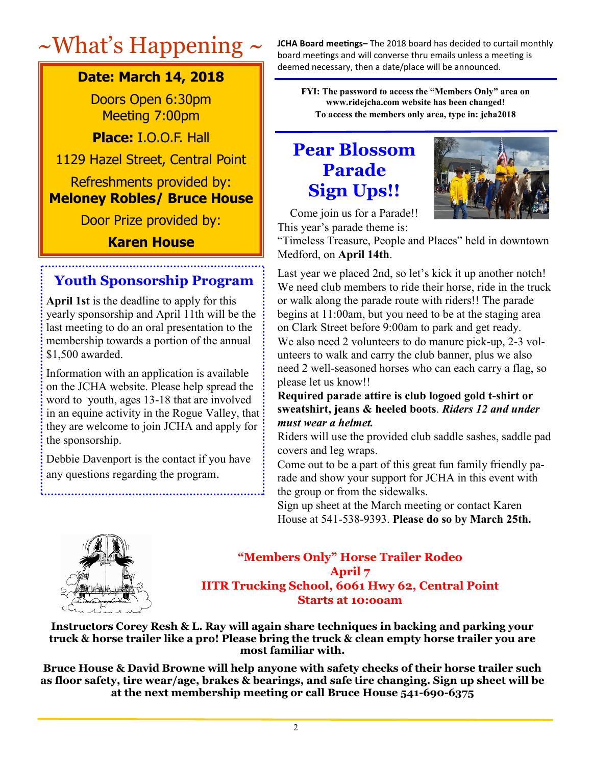### **Date: March 14, 2018**

Doors Open 6:30pm Meeting 7:00pm

**Place:** I.O.O.F. Hall

1129 Hazel Street, Central Point

### Refreshments provided by: **Meloney Robles/ Bruce House**

Door Prize provided by:

### **Karen House**

### **Youth Sponsorship Program**

**April 1st** is the deadline to apply for this yearly sponsorship and April 11th will be the last meeting to do an oral presentation to the membership towards a portion of the annual \$1,500 awarded.

Information with an application is available on the JCHA website. Please help spread the word to youth, ages 13-18 that are involved in an equine activity in the Rogue Valley, that they are welcome to join JCHA and apply for the sponsorship.

Debbie Davenport is the contact if you have any questions regarding the program.

 $~\sim$ What's Happening  $\sim$  JCHA Board meetings– The 2018 board has decided to curtail monthly board meetings and will converse thru emails unless a meeting is deemed necessary, then a date/place will be announced.

> **FYI: The password to access the "Members Only" area on www.ridejcha.com website has been changed! To access the members only area, type in: jcha2018**

# **Pear Blossom Parade Sign Ups!!**



Come join us for a Parade!! This year's parade theme is:

"Timeless Treasure, People and Places" held in downtown Medford, on **April 14th**.

Last year we placed 2nd, so let's kick it up another notch! We need club members to ride their horse, ride in the truck or walk along the parade route with riders!! The parade begins at 11:00am, but you need to be at the staging area on Clark Street before 9:00am to park and get ready. We also need 2 volunteers to do manure pick-up, 2-3 volunteers to walk and carry the club banner, plus we also need 2 well-seasoned horses who can each carry a flag, so please let us know!!

### **Required parade attire is club logoed gold t-shirt or sweatshirt, jeans & heeled boots**. *Riders 12 and under must wear a helmet.*

Riders will use the provided club saddle sashes, saddle pad covers and leg wraps.

Come out to be a part of this great fun family friendly parade and show your support for JCHA in this event with the group or from the sidewalks.

Sign up sheet at the March meeting or contact Karen House at 541-538-9393. **Please do so by March 25th.** 



### **"Members Only" Horse Trailer Rodeo April 7 IITR Trucking School, 6061 Hwy 62, Central Point Starts at 10:ooam**

**Instructors Corey Resh & L. Ray will again share techniques in backing and parking your truck & horse trailer like a pro! Please bring the truck & clean empty horse trailer you are most familiar with.** 

**Bruce House & David Browne will help anyone with safety checks of their horse trailer such as floor safety, tire wear/age, brakes & bearings, and safe tire changing. Sign up sheet will be at the next membership meeting or call Bruce House 541-690-6375**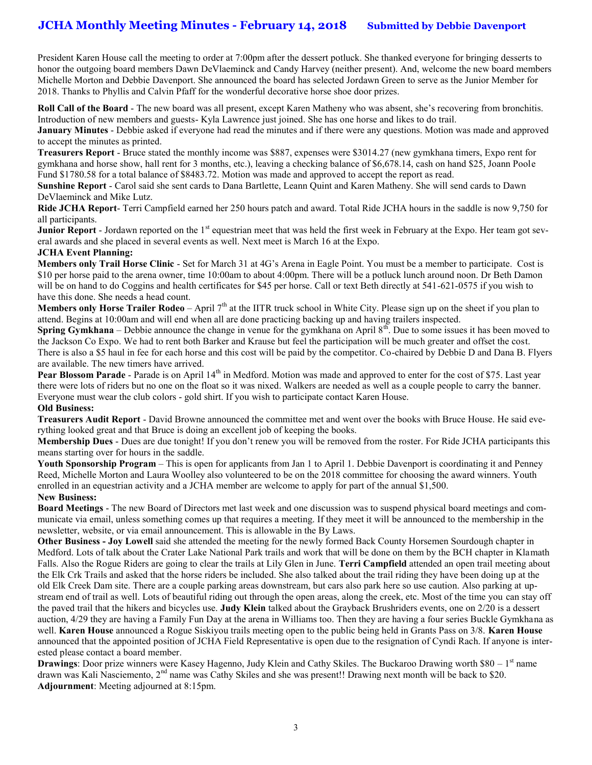### **JCHA Monthly Meeting Minutes - February 14, 2018 Submitted by Debbie Davenport**

President Karen House call the meeting to order at 7:00pm after the dessert potluck. She thanked everyone for bringing desserts to honor the outgoing board members Dawn DeVlaeminck and Candy Harvey (neither present). And, welcome the new board members Michelle Morton and Debbie Davenport. She announced the board has selected Jordawn Green to serve as the Junior Member for 2018. Thanks to Phyllis and Calvin Pfaff for the wonderful decorative horse shoe door prizes.

**Roll Call of the Board** - The new board was all present, except Karen Matheny who was absent, she's recovering from bronchitis. Introduction of new members and guests- Kyla Lawrence just joined. She has one horse and likes to do trail.

**January Minutes** - Debbie asked if everyone had read the minutes and if there were any questions. Motion was made and approved to accept the minutes as printed.

**Treasurers Report** - Bruce stated the monthly income was \$887, expenses were \$3014.27 (new gymkhana timers, Expo rent for gymkhana and horse show, hall rent for 3 months, etc.), leaving a checking balance of \$6,678.14, cash on hand \$25, Joann Poole Fund \$1780.58 for a total balance of \$8483.72. Motion was made and approved to accept the report as read.

**Sunshine Report** - Carol said she sent cards to Dana Bartlette, Leann Quint and Karen Matheny. She will send cards to Dawn DeVlaeminck and Mike Lutz.

**Ride JCHA Report**- Terri Campfield earned her 250 hours patch and award. Total Ride JCHA hours in the saddle is now 9,750 for all participants.

**Junior Report** - Jordawn reported on the 1<sup>st</sup> equestrian meet that was held the first week in February at the Expo. Her team got several awards and she placed in several events as well. Next meet is March 16 at the Expo.

#### **JCHA Event Planning:**

**Members only Trail Horse Clinic** - Set for March 31 at 4G's Arena in Eagle Point. You must be a member to participate. Cost is \$10 per horse paid to the arena owner, time 10:00am to about 4:00pm. There will be a potluck lunch around noon. Dr Beth Damon will be on hand to do Coggins and health certificates for \$45 per horse. Call or text Beth directly at 541-621-0575 if you wish to have this done. She needs a head count.

**Members only Horse Trailer Rodeo** – April  $7<sup>th</sup>$  at the IITR truck school in White City. Please sign up on the sheet if you plan to attend. Begins at 10:00am and will end when all are done practicing backing up and having trailers inspected.

**Spring Gymkhana** – Debbie announce the change in venue for the gymkhana on April 8<sup>th</sup>. Due to some issues it has been moved to the Jackson Co Expo. We had to rent both Barker and Krause but feel the participation will be much greater and offset the cost. There is also a \$5 haul in fee for each horse and this cost will be paid by the competitor. Co-chaired by Debbie D and Dana B. Flyers are available. The new timers have arrived.

**Pear Blossom Parade** - Parade is on April 14<sup>th</sup> in Medford. Motion was made and approved to enter for the cost of \$75. Last year there were lots of riders but no one on the float so it was nixed. Walkers are needed as well as a couple people to carry the banner. Everyone must wear the club colors - gold shirt. If you wish to participate contact Karen House.

#### **Old Business:**

**Treasurers Audit Report** - David Browne announced the committee met and went over the books with Bruce House. He said everything looked great and that Bruce is doing an excellent job of keeping the books.

**Membership Dues** - Dues are due tonight! If you don't renew you will be removed from the roster. For Ride JCHA participants this means starting over for hours in the saddle.

**Youth Sponsorship Program** – This is open for applicants from Jan 1 to April 1. Debbie Davenport is coordinating it and Penney Reed, Michelle Morton and Laura Woolley also volunteered to be on the 2018 committee for choosing the award winners. Youth enrolled in an equestrian activity and a JCHA member are welcome to apply for part of the annual \$1,500.

#### **New Business:**

**Board Meetings** - The new Board of Directors met last week and one discussion was to suspend physical board meetings and communicate via email, unless something comes up that requires a meeting. If they meet it will be announced to the membership in the newsletter, website, or via email announcement. This is allowable in the By Laws.

**Other Business - Joy Lowell** said she attended the meeting for the newly formed Back County Horsemen Sourdough chapter in Medford. Lots of talk about the Crater Lake National Park trails and work that will be done on them by the BCH chapter in Klamath Falls. Also the Rogue Riders are going to clear the trails at Lily Glen in June. **Terri Campfield** attended an open trail meeting about the Elk Crk Trails and asked that the horse riders be included. She also talked about the trail riding they have been doing up at the old Elk Creek Dam site. There are a couple parking areas downstream, but cars also park here so use caution. Also parking at upstream end of trail as well. Lots of beautiful riding out through the open areas, along the creek, etc. Most of the time you can stay off the paved trail that the hikers and bicycles use. **Judy Klein** talked about the Grayback Brushriders events, one on 2/20 is a dessert auction, 4/29 they are having a Family Fun Day at the arena in Williams too. Then they are having a four series Buckle Gymkhana as well. **Karen House** announced a Rogue Siskiyou trails meeting open to the public being held in Grants Pass on 3/8. **Karen House** announced that the appointed position of JCHA Field Representative is open due to the resignation of Cyndi Rach. If anyone is interested please contact a board member.

**Drawings**: Door prize winners were Kasey Hagenno, Judy Klein and Cathy Skiles. The Buckaroo Drawing worth \$80 – 1<sup>st</sup> name drawn was Kali Nasciemento, 2<sup>nd</sup> name was Cathy Skiles and she was present!! Drawing next month will be back to \$20. **Adjournment**: Meeting adjourned at 8:15pm.